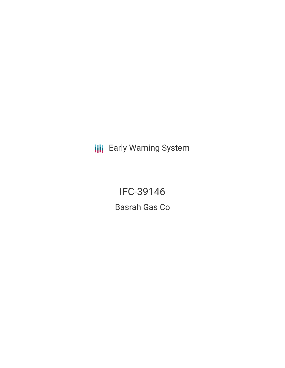**III** Early Warning System

IFC-39146 Basrah Gas Co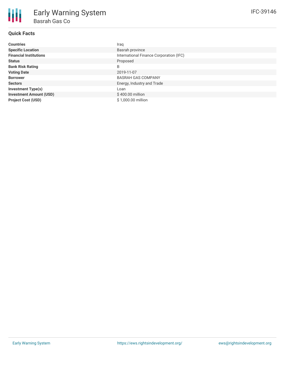# **Quick Facts**

| <b>Countries</b>               | Iraq                                    |
|--------------------------------|-----------------------------------------|
| <b>Specific Location</b>       | Basrah province                         |
| <b>Financial Institutions</b>  | International Finance Corporation (IFC) |
| <b>Status</b>                  | Proposed                                |
| <b>Bank Risk Rating</b>        | B                                       |
| <b>Voting Date</b>             | 2019-11-07                              |
| <b>Borrower</b>                | <b>BASRAH GAS COMPANY</b>               |
| <b>Sectors</b>                 | Energy, Industry and Trade              |
| <b>Investment Type(s)</b>      | Loan                                    |
| <b>Investment Amount (USD)</b> | \$400.00 million                        |
| <b>Project Cost (USD)</b>      | \$1,000.00 million                      |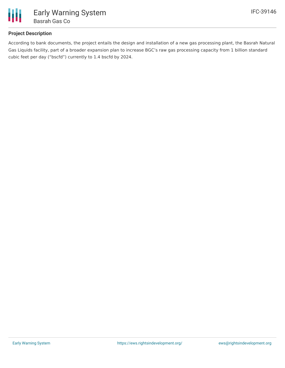

# **Project Description**

According to bank documents, the project entails the design and installation of a new gas processing plant, the Basrah Natural Gas Liquids facility, part of a broader expansion plan to increase BGC's raw gas processing capacity from 1 billion standard cubic feet per day ("bscfd") currently to 1.4 bscfd by 2024.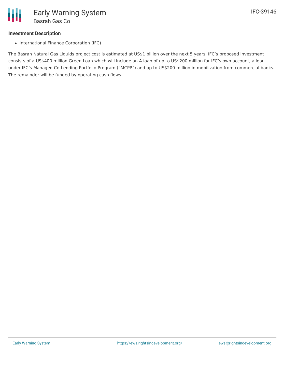## **Investment Description**

• International Finance Corporation (IFC)

The Basrah Natural Gas Liquids project cost is estimated at US\$1 billion over the next 5 years. IFC's proposed investment consists of a US\$400 million Green Loan which will include an A loan of up to US\$200 million for IFC's own account, a loan under IFC's Managed Co-Lending Portfolio Program ("MCPP") and up to US\$200 million in mobilization from commercial banks. The remainder will be funded by operating cash flows.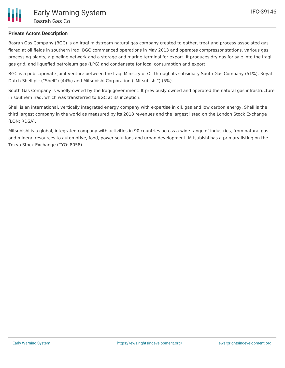

### **Private Actors Description**

Basrah Gas Company (BGC) is an Iraqi midstream natural gas company created to gather, treat and process associated gas flared at oil fields in southern Iraq. BGC commenced operations in May 2013 and operates compressor stations, various gas processing plants, a pipeline network and a storage and marine terminal for export. It produces dry gas for sale into the Iraqi gas grid, and liquefied petroleum gas (LPG) and condensate for local consumption and export.

BGC is a public/private joint venture between the Iraqi Ministry of Oil through its subsidiary South Gas Company (51%), Royal Dutch Shell plc ("Shell") (44%) and Mitsubishi Corporation ("Mitsubishi") (5%).

South Gas Company is wholly-owned by the Iraqi government. It previously owned and operated the natural gas infrastructure in southern Iraq, which was transferred to BGC at its inception.

Shell is an international, vertically integrated energy company with expertise in oil, gas and low carbon energy. Shell is the third largest company in the world as measured by its 2018 revenues and the largest listed on the London Stock Exchange (LON: RDSA).

Mitsubishi is a global, integrated company with activities in 90 countries across a wide range of industries, from natural gas and mineral resources to automotive, food, power solutions and urban development. Mitsubishi has a primary listing on the Tokyo Stock Exchange (TYO: 8058).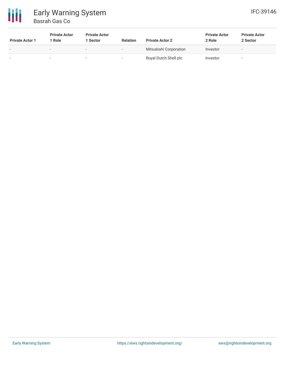

# Early Warning System Basrah Gas Co

| <b>Private Actor 1</b>   | <b>Private Actor</b><br>Role | <b>Private Actor</b><br>l Sector | <b>Relation</b>          | <b>Private Actor 2</b> | <b>Private Actor</b><br>2 Role | <b>Private Actor</b><br>2 Sector |
|--------------------------|------------------------------|----------------------------------|--------------------------|------------------------|--------------------------------|----------------------------------|
| $\overline{\phantom{a}}$ | $\overline{\phantom{a}}$     | $\overline{\phantom{a}}$         | $\overline{\phantom{a}}$ | Mitsubishi Corporation | Investor                       |                                  |
| $\overline{\phantom{0}}$ | $\sim$                       | $\overline{\phantom{a}}$         | -                        | Royal Dutch Shell plc  | Investor                       |                                  |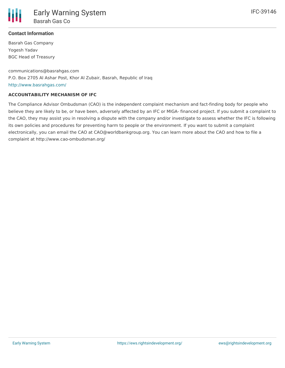

# **Contact Information**

Basrah Gas Company Yogesh Yadav BGC Head of Treasury

communications@basrahgas.com P.O. Box 2705 Al Ashar Post, Khor Al Zubair, Basrah, Republic of Iraq <http://www.basrahgas.com/>

### **ACCOUNTABILITY MECHANISM OF IFC**

The Compliance Advisor Ombudsman (CAO) is the independent complaint mechanism and fact-finding body for people who believe they are likely to be, or have been, adversely affected by an IFC or MIGA- financed project. If you submit a complaint to the CAO, they may assist you in resolving a dispute with the company and/or investigate to assess whether the IFC is following its own policies and procedures for preventing harm to people or the environment. If you want to submit a complaint electronically, you can email the CAO at CAO@worldbankgroup.org. You can learn more about the CAO and how to file a complaint at http://www.cao-ombudsman.org/